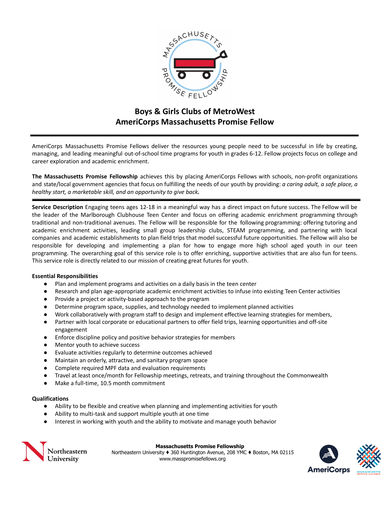

# **Boys & Girls Clubs of MetroWest AmeriCorps Massachusetts Promise Fellow**

AmeriCorps Massachusetts Promise Fellows deliver the resources young people need to be successful in life by creating, managing, and leading meaningful out-of-school time programs for youth in grades 6-12. Fellow projects focus on college and career exploration and academic enrichment.

**The Massachusetts Promise Fellowship** achieves this by placing AmeriCorps Fellows with schools, non-profit organizations and state/local government agencies that focus on fulfilling the needs of our youth by providing: *a caring adult, a safe place, a healthy start, a marketable skill, and an opportunity to give back.*

**Service Description** Engaging teens ages 12-18 in a meaningful way has a direct impact on future success. The Fellow will be the leader of the Marlborough Clubhouse Teen Center and focus on offering academic enrichment programming through traditional and non-traditional avenues. The Fellow will be responsible for the following programming: offering tutoring and academic enrichment activities, leading small group leadership clubs, STEAM programming, and partnering with local companies and academic establishments to plan field trips that model successful future opportunities. The Fellow will also be responsible for developing and implementing a plan for how to engage more high school aged youth in our teen programming. The overarching goal of this service role is to offer enriching, supportive activities that are also fun for teens. This service role is directly related to our mission of creating great futures for youth.

## **Essential Responsibilities**

- Plan and implement programs and activities on a daily basis in the teen center
- Research and plan age-appropriate academic enrichment activities to infuse into existing Teen Center activities
- Provide a project or activity-based approach to the program
- Determine program space, supplies, and technology needed to implement planned activities
- Work collaboratively with program staff to design and implement effective learning strategies for members,
- Partner with local corporate or educational partners to offer field trips, learning opportunities and off-site engagement
- Enforce discipline policy and positive behavior strategies for members
- Mentor youth to achieve success
- Evaluate activities regularly to determine outcomes achieved
- Maintain an orderly, attractive, and sanitary program space
- Complete required MPF data and evaluation requirements
- Travel at least once/month for Fellowship meetings, retreats, and training throughout the Commonwealth
- Make a full-time, 10.5 month commitment

# **Qualifications**

- Ability to be flexible and creative when planning and implementing activities for youth
- Ability to multi-task and support multiple youth at one time
- Interest in working with youth and the ability to motivate and manage youth behavior



#### **Massachusetts Promise Fellowship**

Northeastern University ♦ 360 Huntington Avenue, 208 YMC ♦ Boston, MA 02115 www.masspromisefellows.org